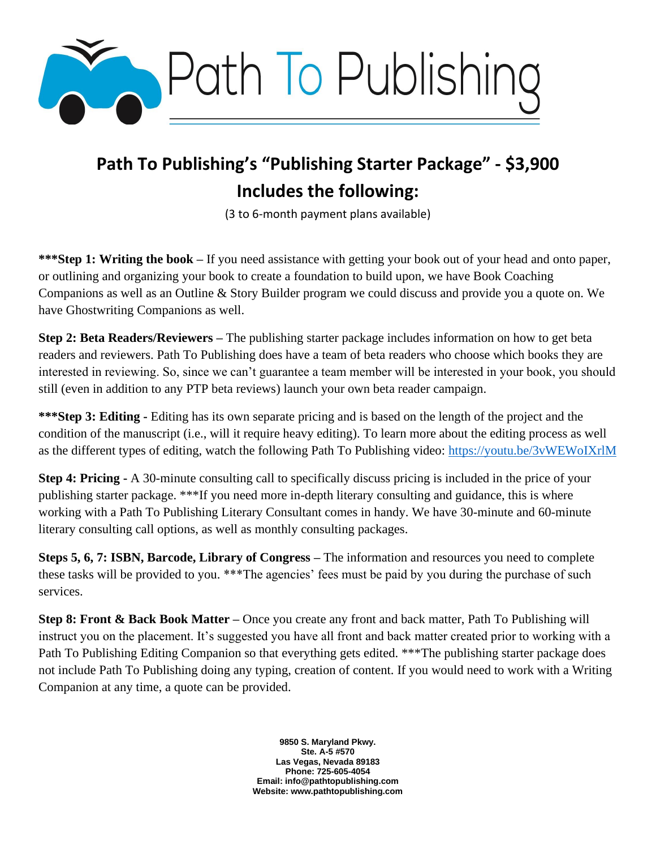

## **Path To Publishing's "Publishing Starter Package" - \$3,900 Includes the following:**

(3 to 6-month payment plans available)

**\*\*\*Step 1: Writing the book –** If you need assistance with getting your book out of your head and onto paper, or outlining and organizing your book to create a foundation to build upon, we have Book Coaching Companions as well as an Outline & Story Builder program we could discuss and provide you a quote on. We have Ghostwriting Companions as well.

**Step 2: Beta Readers/Reviewers –** The publishing starter package includes information on how to get beta readers and reviewers. Path To Publishing does have a team of beta readers who choose which books they are interested in reviewing. So, since we can't guarantee a team member will be interested in your book, you should still (even in addition to any PTP beta reviews) launch your own beta reader campaign.

**\*\*\*Step 3: Editing -** Editing has its own separate pricing and is based on the length of the project and the condition of the manuscript (i.e., will it require heavy editing). To learn more about the editing process as well as the different types of editing, watch the following Path To Publishing video:<https://youtu.be/3vWEWoIXrlM>

**Step 4: Pricing -** A 30-minute consulting call to specifically discuss pricing is included in the price of your publishing starter package. \*\*\*If you need more in-depth literary consulting and guidance, this is where working with a Path To Publishing Literary Consultant comes in handy. We have 30-minute and 60-minute literary consulting call options, as well as monthly consulting packages.

**Steps 5, 6, 7: ISBN, Barcode, Library of Congress –** The information and resources you need to complete these tasks will be provided to you. \*\*\*The agencies' fees must be paid by you during the purchase of such services.

**Step 8: Front & Back Book Matter –** Once you create any front and back matter, Path To Publishing will instruct you on the placement. It's suggested you have all front and back matter created prior to working with a Path To Publishing Editing Companion so that everything gets edited. \*\*\*The publishing starter package does not include Path To Publishing doing any typing, creation of content. If you would need to work with a Writing Companion at any time, a quote can be provided.

> **9850 S. Maryland Pkwy. Ste. A-5 #570 Las Vegas, Nevada 89183 Phone: 725-605-4054 Email: info@pathtopublishing.com Website: www.pathtopublishing.com**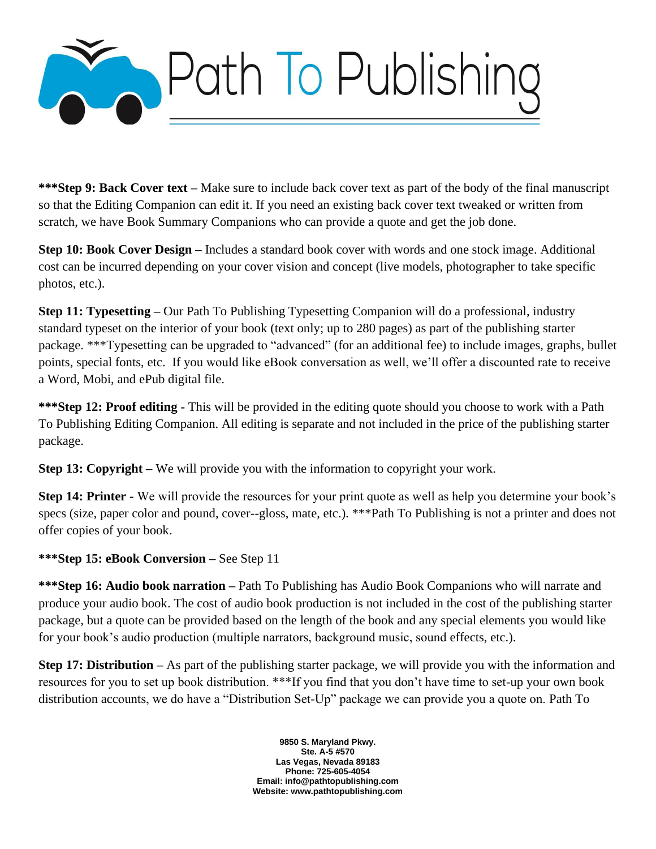

**\*\*\*Step 9: Back Cover text –** Make sure to include back cover text as part of the body of the final manuscript so that the Editing Companion can edit it. If you need an existing back cover text tweaked or written from scratch, we have Book Summary Companions who can provide a quote and get the job done.

**Step 10: Book Cover Design –** Includes a standard book cover with words and one stock image. Additional cost can be incurred depending on your cover vision and concept (live models, photographer to take specific photos, etc.).

**Step 11: Typesetting –** Our Path To Publishing Typesetting Companion will do a professional, industry standard typeset on the interior of your book (text only; up to 280 pages) as part of the publishing starter package. \*\*\*Typesetting can be upgraded to "advanced" (for an additional fee) to include images, graphs, bullet points, special fonts, etc. If you would like eBook conversation as well, we'll offer a discounted rate to receive a Word, Mobi, and ePub digital file.

**\*\*\*Step 12: Proof editing -** This will be provided in the editing quote should you choose to work with a Path To Publishing Editing Companion. All editing is separate and not included in the price of the publishing starter package.

**Step 13: Copyright** – We will provide you with the information to copyright your work.

**Step 14: Printer -** We will provide the resources for your print quote as well as help you determine your book's specs (size, paper color and pound, cover--gloss, mate, etc.). \*\*\*Path To Publishing is not a printer and does not offer copies of your book.

## **\*\*\*Step 15: eBook Conversion –** See Step 11

**\*\*\*Step 16: Audio book narration –** Path To Publishing has Audio Book Companions who will narrate and produce your audio book. The cost of audio book production is not included in the cost of the publishing starter package, but a quote can be provided based on the length of the book and any special elements you would like for your book's audio production (multiple narrators, background music, sound effects, etc.).

**Step 17: Distribution –** As part of the publishing starter package, we will provide you with the information and resources for you to set up book distribution. \*\*\*If you find that you don't have time to set-up your own book distribution accounts, we do have a "Distribution Set-Up" package we can provide you a quote on. Path To

> **9850 S. Maryland Pkwy. Ste. A-5 #570 Las Vegas, Nevada 89183 Phone: 725-605-4054 Email: info@pathtopublishing.com Website: www.pathtopublishing.com**